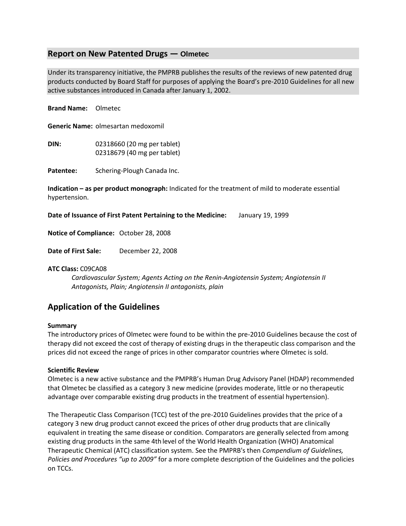## **Report on New Patented Drugs — Olmetec**

Under its transparency initiative, the PMPRB publishes the results of the reviews of new patented drug products conducted by Board Staff for purposes of applying the Board's pre-2010 Guidelines for all new active substances introduced in Canada after January 1, 2002.

**Brand Name:** Olmetec **Generic Name:** olmesartan medoxomil

**DIN:** 02318660 (20 mg per tablet) 02318679 (40 mg per tablet)

Patentee: Schering-Plough Canada Inc.

**Indication – as per product monograph:** Indicated for the treatment of mild to moderate essential hypertension.

**Date of Issuance of First Patent Pertaining to the Medicine:** January 19, 1999

**Notice of Compliance:** October 28, 2008

**Date of First Sale:** December 22, 2008

## **ATC Class:** C09CA08

*Cardiovascular System; Agents Acting on the Renin-Angiotensin System; Angiotensin II Antagonists, Plain; Angiotensin II antagonists, plain*

# **Application of the Guidelines**

#### **Summary**

The introductory prices of Olmetec were found to be within the pre-2010 Guidelines because the cost of therapy did not exceed the cost of therapy of existing drugs in the therapeutic class comparison and the prices did not exceed the range of prices in other comparator countries where Olmetec is sold.

#### **Scientific Review**

Olmetec is a new active substance and the PMPRB's Human Drug Advisory Panel (HDAP) recommended that Olmetec be classified as a category 3 new medicine (provides moderate, little or no therapeutic advantage over comparable existing drug products in the treatment of essential hypertension).

The Therapeutic Class Comparison (TCC) test of the pre-2010 Guidelines provides that the price of a category 3 new drug product cannot exceed the prices of other drug products that are clinically equivalent in treating the same disease or condition. Comparators are generally selected from among existing drug products in the same 4th level of the World Health Organization (WHO) Anatomical Therapeutic Chemical (ATC) classification system. See the PMPRB's then *Compendium of Guidelines, Policies and Procedures "up to 2009"* for a more complete description of the Guidelines and the policies on TCCs.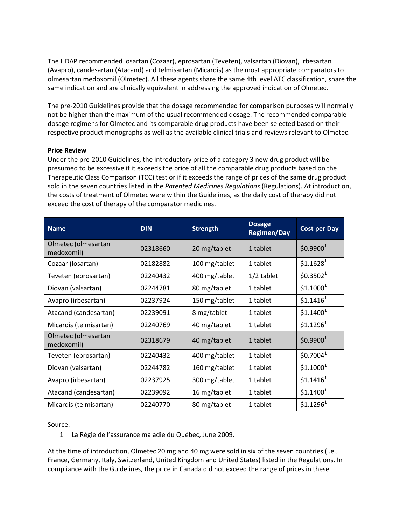The HDAP recommended losartan (Cozaar), eprosartan (Teveten), valsartan (Diovan), irbesartan (Avapro), candesartan (Atacand) and telmisartan (Micardis) as the most appropriate comparators to olmesartan medoxomil (Olmetec). All these agents share the same 4th level ATC classification, share the same indication and are clinically equivalent in addressing the approved indication of Olmetec.

The pre-2010 Guidelines provide that the dosage recommended for comparison purposes will normally not be higher than the maximum of the usual recommended dosage. The recommended comparable dosage regimens for Olmetec and its comparable drug products have been selected based on their respective product monographs as well as the available clinical trials and reviews relevant to Olmetec.

### **Price Review**

Under the pre-2010 Guidelines, the introductory price of a category 3 new drug product will be presumed to be excessive if it exceeds the price of all the comparable drug products based on the Therapeutic Class Comparison (TCC) test or if it exceeds the range of prices of the same drug product sold in the seven countries listed in the *Patented Medicines Regulations* (Regulations). At introduction, the costs of treatment of Olmetec were within the Guidelines, as the daily cost of therapy did not exceed the cost of therapy of the comparator medicines.

| <b>Name</b>                       | <b>DIN</b> | <b>Strength</b> | <b>Dosage</b><br><b>Regimen/Day</b> | <b>Cost per Day</b>   |
|-----------------------------------|------------|-----------------|-------------------------------------|-----------------------|
| Olmetec (olmesartan<br>medoxomil) | 02318660   | 20 mg/tablet    | 1 tablet                            | \$0.9900 <sup>1</sup> |
| Cozaar (Iosartan)                 | 02182882   | 100 mg/tablet   | 1 tablet                            | \$1.1628 <sup>1</sup> |
| Teveten (eprosartan)              | 02240432   | 400 mg/tablet   | $1/2$ tablet                        | \$0.3502 <sup>1</sup> |
| Diovan (valsartan)                | 02244781   | 80 mg/tablet    | 1 tablet                            | \$1.1000 <sup>1</sup> |
| Avapro (irbesartan)               | 02237924   | 150 mg/tablet   | 1 tablet                            | \$1.1416 <sup>1</sup> |
| Atacand (candesartan)             | 02239091   | 8 mg/tablet     | 1 tablet                            | \$1.1400 <sup>1</sup> |
| Micardis (telmisartan)            | 02240769   | 40 mg/tablet    | 1 tablet                            | \$1.1296 <sup>1</sup> |
| Olmetec (olmesartan<br>medoxomil) | 02318679   | 40 mg/tablet    | 1 tablet                            | \$0.9900 <sup>1</sup> |
| Teveten (eprosartan)              | 02240432   | 400 mg/tablet   | 1 tablet                            | \$0.7004 <sup>1</sup> |
| Diovan (valsartan)                | 02244782   | 160 mg/tablet   | 1 tablet                            | \$1.1000 <sup>1</sup> |
| Avapro (irbesartan)               | 02237925   | 300 mg/tablet   | 1 tablet                            | \$1.1416 <sup>1</sup> |
| Atacand (candesartan)             | 02239092   | 16 mg/tablet    | 1 tablet                            | \$1.1400 <sup>1</sup> |
| Micardis (telmisartan)            | 02240770   | 80 mg/tablet    | 1 tablet                            | \$1.1296 <sup>1</sup> |

Source:

1 La Régie de l'assurance maladie du Québec, June 2009.

At the time of introduction, Olmetec 20 mg and 40 mg were sold in six of the seven countries (i.e., France, Germany, Italy, Switzerland, United Kingdom and United States) listed in the Regulations. In compliance with the Guidelines, the price in Canada did not exceed the range of prices in these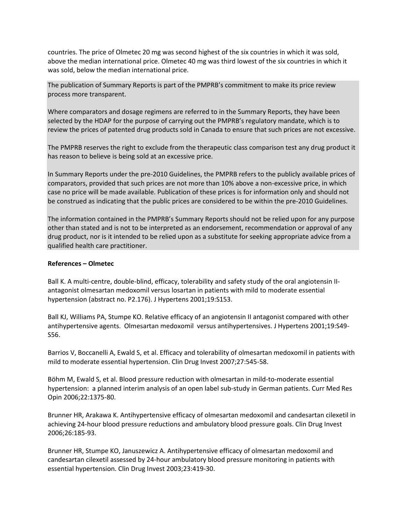countries. The price of Olmetec 20 mg was second highest of the six countries in which it was sold, above the median international price. Olmetec 40 mg was third lowest of the six countries in which it was sold, below the median international price.

The publication of Summary Reports is part of the PMPRB's commitment to make its price review process more transparent.

Where comparators and dosage regimens are referred to in the Summary Reports, they have been selected by the HDAP for the purpose of carrying out the PMPRB's regulatory mandate, which is to review the prices of patented drug products sold in Canada to ensure that such prices are not excessive.

The PMPRB reserves the right to exclude from the therapeutic class comparison test any drug product it has reason to believe is being sold at an excessive price.

In Summary Reports under the pre-2010 Guidelines, the PMPRB refers to the publicly available prices of comparators, provided that such prices are not more than 10% above a non-excessive price, in which case no price will be made available. Publication of these prices is for information only and should not be construed as indicating that the public prices are considered to be within the pre-2010 Guidelines.

The information contained in the PMPRB's Summary Reports should not be relied upon for any purpose other than stated and is not to be interpreted as an endorsement, recommendation or approval of any drug product, nor is it intended to be relied upon as a substitute for seeking appropriate advice from a qualified health care practitioner.

#### **References – Olmetec**

Ball K. A multi-centre, double-blind, efficacy, tolerability and safety study of the oral angiotensin IIantagonist olmesartan medoxomil versus losartan in patients with mild to moderate essential hypertension (abstract no. P2.176). J Hypertens 2001;19:S153.

Ball KJ, Williams PA, Stumpe KO. Relative efficacy of an angiotensin II antagonist compared with other antihypertensive agents. Olmesartan medoxomil versus antihypertensives. J Hypertens 2001;19:S49- S56.

Barrios V, Boccanelli A, Ewald S, et al. Efficacy and tolerability of olmesartan medoxomil in patients with mild to moderate essential hypertension. Clin Drug Invest 2007;27:545-58.

Böhm M, Ewald S, et al. Blood pressure reduction with olmesartan in mild-to-moderate essential hypertension: a planned interim analysis of an open label sub-study in German patients. Curr Med Res Opin 2006;22:1375-80.

Brunner HR, Arakawa K. Antihypertensive efficacy of olmesartan medoxomil and candesartan cilexetil in achieving 24-hour blood pressure reductions and ambulatory blood pressure goals. Clin Drug Invest 2006;26:185-93.

Brunner HR, Stumpe KO, Januszewicz A. Antihypertensive efficacy of olmesartan medoxomil and candesartan cilexetil assessed by 24-hour ambulatory blood pressure monitoring in patients with essential hypertension. Clin Drug Invest 2003;23:419-30.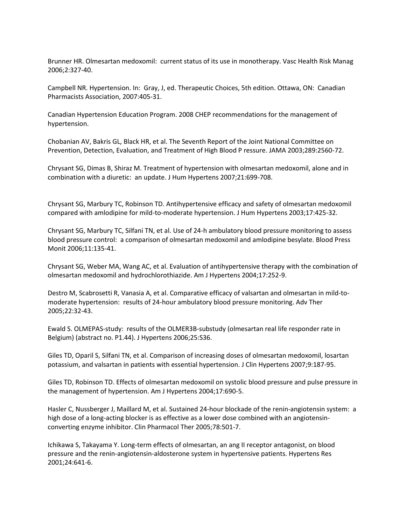Brunner HR. Olmesartan medoxomil: current status of its use in monotherapy. Vasc Health Risk Manag 2006;2:327-40.

Campbell NR. Hypertension. In: Gray, J, ed. Therapeutic Choices, 5th edition. Ottawa, ON: Canadian Pharmacists Association, 2007:405-31.

Canadian Hypertension Education Program. 2008 CHEP recommendations for the management of hypertension.

Chobanian AV, Bakris GL, Black HR, et al. The Seventh Report of the Joint National Committee on Prevention, Detection, Evaluation, and Treatment of High Blood P ressure. JAMA 2003;289:2560-72.

Chrysant SG, Dimas B, Shiraz M. Treatment of hypertension with olmesartan medoxomil, alone and in combination with a diuretic: an update. J Hum Hypertens 2007;21:699-708.

Chrysant SG, Marbury TC, Robinson TD. Antihypertensive efficacy and safety of olmesartan medoxomil compared with amlodipine for mild-to-moderate hypertension. J Hum Hypertens 2003;17:425-32.

Chrysant SG, Marbury TC, Silfani TN, et al. Use of 24-h ambulatory blood pressure monitoring to assess blood pressure control: a comparison of olmesartan medoxomil and amlodipine besylate. Blood Press Monit 2006;11:135-41.

Chrysant SG, Weber MA, Wang AC, et al. Evaluation of antihypertensive therapy with the combination of olmesartan medoxomil and hydrochlorothiazide. Am J Hypertens 2004;17:252-9.

Destro M, Scabrosetti R, Vanasia A, et al. Comparative efficacy of valsartan and olmesartan in mild-tomoderate hypertension: results of 24-hour ambulatory blood pressure monitoring. Adv Ther 2005;22:32-43.

Ewald S. OLMEPAS-study: results of the OLMER3B-substudy (olmesartan real life responder rate in Belgium) (abstract no. P1.44). J Hypertens 2006;25:S36.

Giles TD, Oparil S, Silfani TN, et al. Comparison of increasing doses of olmesartan medoxomil, losartan potassium, and valsartan in patients with essential hypertension. J Clin Hypertens 2007;9:187-95.

Giles TD, Robinson TD. Effects of olmesartan medoxomil on systolic blood pressure and pulse pressure in the management of hypertension. Am J Hypertens 2004;17:690-5.

Hasler C, Nussberger J, Maillard M, et al. Sustained 24-hour blockade of the renin-angiotensin system: a high dose of a long-acting blocker is as effective as a lower dose combined with an angiotensinconverting enzyme inhibitor. Clin Pharmacol Ther 2005;78:501-7.

Ichikawa S, Takayama Y. Long-term effects of olmesartan, an ang II receptor antagonist, on blood pressure and the renin-angiotensin-aldosterone system in hypertensive patients. Hypertens Res 2001;24:641-6.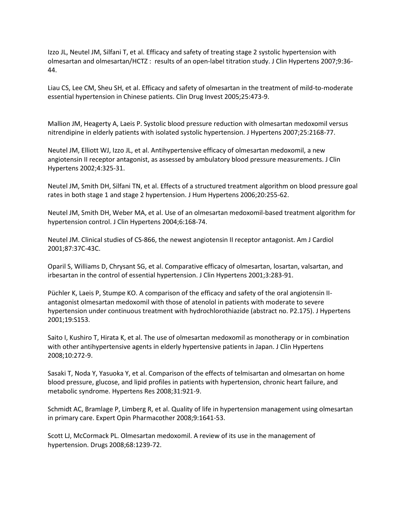Izzo JL, Neutel JM, Silfani T, et al. Efficacy and safety of treating stage 2 systolic hypertension with olmesartan and olmesartan/HCTZ : results of an open-label titration study. J Clin Hypertens 2007;9:36- 44.

Liau CS, Lee CM, Sheu SH, et al. Efficacy and safety of olmesartan in the treatment of mild-to-moderate essential hypertension in Chinese patients. Clin Drug Invest 2005;25:473-9.

Mallion JM, Heagerty A, Laeis P. Systolic blood pressure reduction with olmesartan medoxomil versus nitrendipine in elderly patients with isolated systolic hypertension. J Hypertens 2007;25:2168-77.

Neutel JM, Elliott WJ, Izzo JL, et al. Antihypertensive efficacy of olmesartan medoxomil, a new angiotensin II receptor antagonist, as assessed by ambulatory blood pressure measurements. J Clin Hypertens 2002;4:325-31.

Neutel JM, Smith DH, Silfani TN, et al. Effects of a structured treatment algorithm on blood pressure goal rates in both stage 1 and stage 2 hypertension. J Hum Hypertens 2006;20:255-62.

Neutel JM, Smith DH, Weber MA, et al. Use of an olmesartan medoxomil-based treatment algorithm for hypertension control. J Clin Hypertens 2004;6:168-74.

Neutel JM. Clinical studies of CS-866, the newest angiotensin II receptor antagonist. Am J Cardiol 2001;87:37C-43C.

Oparil S, Williams D, Chrysant SG, et al. Comparative efficacy of olmesartan, losartan, valsartan, and irbesartan in the control of essential hypertension. J Clin Hypertens 2001;3:283-91.

Püchler K, Laeis P, Stumpe KO. A comparison of the efficacy and safety of the oral angiotensin IIantagonist olmesartan medoxomil with those of atenolol in patients with moderate to severe hypertension under continuous treatment with hydrochlorothiazide (abstract no. P2.175). J Hypertens 2001;19:S153.

Saito I, Kushiro T, Hirata K, et al. The use of olmesartan medoxomil as monotherapy or in combination with other antihypertensive agents in elderly hypertensive patients in Japan. J Clin Hypertens 2008;10:272-9.

Sasaki T, Noda Y, Yasuoka Y, et al. Comparison of the effects of telmisartan and olmesartan on home blood pressure, glucose, and lipid profiles in patients with hypertension, chronic heart failure, and metabolic syndrome. Hypertens Res 2008;31:921-9.

Schmidt AC, Bramlage P, Limberg R, et al. Quality of life in hypertension management using olmesartan in primary care. Expert Opin Pharmacother 2008;9:1641-53.

Scott LJ, McCormack PL. Olmesartan medoxomil. A review of its use in the management of hypertension. Drugs 2008;68:1239-72.